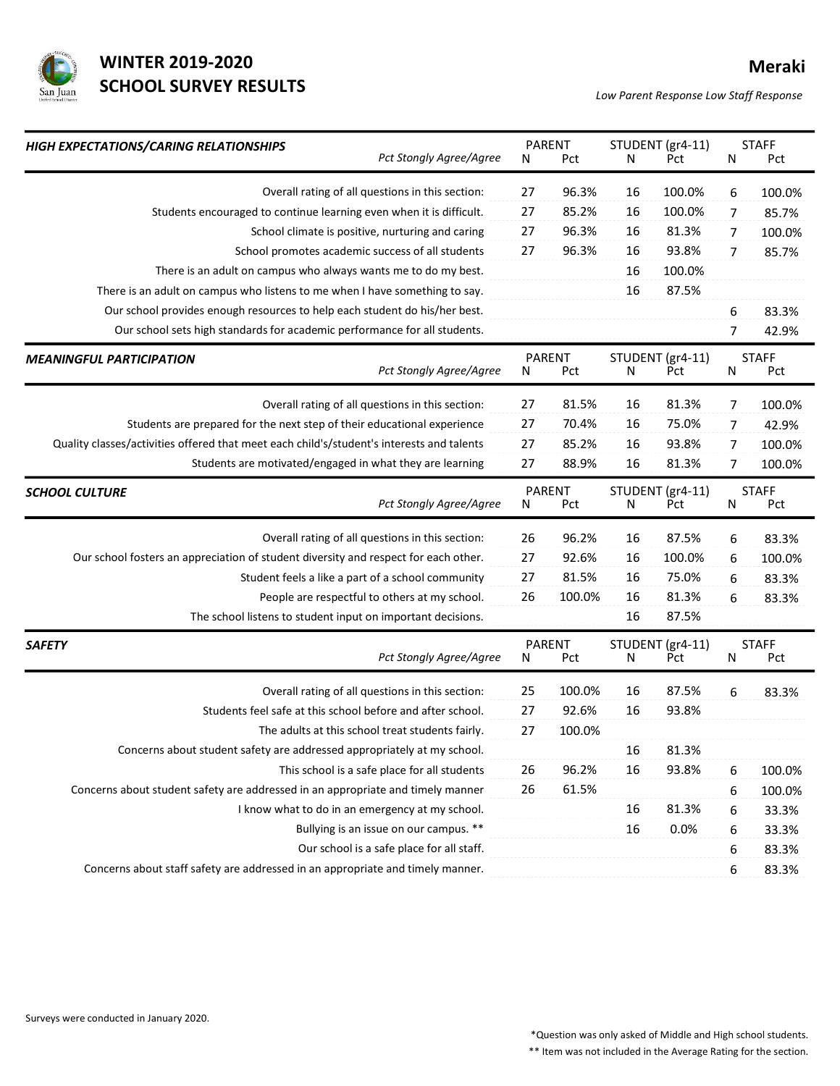

## WINTER 2019-2020 Meraki SCHOOL SURVEY RESULTS<br>
Low Parent Response Low Staff Response

|                                                                                     |                                                                                                                                                                                                                                                                                                                                                                            |                                 |                                                                              |                           |                                                                                                               | <b>Meraki</b>                                        |
|-------------------------------------------------------------------------------------|----------------------------------------------------------------------------------------------------------------------------------------------------------------------------------------------------------------------------------------------------------------------------------------------------------------------------------------------------------------------------|---------------------------------|------------------------------------------------------------------------------|---------------------------|---------------------------------------------------------------------------------------------------------------|------------------------------------------------------|
| San Juan<br>Low Parent Response Low Staff Response                                  |                                                                                                                                                                                                                                                                                                                                                                            |                                 |                                                                              |                           |                                                                                                               |                                                      |
| HIGH EXPECTATIONS/CARING RELATIONSHIPS<br>Pct Stongly Agree/Agree                   | N                                                                                                                                                                                                                                                                                                                                                                          | Pct                             | N                                                                            | Pct                       | N                                                                                                             | <b>STAFF</b><br>Pct                                  |
| Overall rating of all questions in this section:                                    | 27                                                                                                                                                                                                                                                                                                                                                                         | 96.3%                           | 16                                                                           | 100.0%                    | 6                                                                                                             | 100.0%                                               |
| Students encouraged to continue learning even when it is difficult.                 | 27                                                                                                                                                                                                                                                                                                                                                                         | 85.2%                           | 16                                                                           | 100.0%                    | 7                                                                                                             | 85.7%                                                |
| School climate is positive, nurturing and caring                                    | 27                                                                                                                                                                                                                                                                                                                                                                         | 96.3%                           | 16                                                                           | 81.3%                     | 7                                                                                                             | 100.0%                                               |
| School promotes academic success of all students                                    | 27                                                                                                                                                                                                                                                                                                                                                                         | 96.3%                           | 16                                                                           | 93.8%                     | 7                                                                                                             | 85.7%                                                |
| There is an adult on campus who always wants me to do my best.                      |                                                                                                                                                                                                                                                                                                                                                                            |                                 | 16                                                                           | 100.0%                    |                                                                                                               |                                                      |
| There is an adult on campus who listens to me when I have something to say.         |                                                                                                                                                                                                                                                                                                                                                                            |                                 | 16                                                                           | 87.5%                     |                                                                                                               |                                                      |
| Our school provides enough resources to help each student do his/her best.          |                                                                                                                                                                                                                                                                                                                                                                            |                                 |                                                                              |                           | 6                                                                                                             | 83.3%                                                |
| Our school sets high standards for academic performance for all students.           |                                                                                                                                                                                                                                                                                                                                                                            |                                 |                                                                              |                           | 7                                                                                                             | 42.9%                                                |
| <b>MEANINGFUL PARTICIPATION</b>                                                     |                                                                                                                                                                                                                                                                                                                                                                            |                                 |                                                                              |                           |                                                                                                               | <b>STAFF</b><br>Pct                                  |
|                                                                                     |                                                                                                                                                                                                                                                                                                                                                                            |                                 |                                                                              |                           |                                                                                                               |                                                      |
| Overall rating of all questions in this section:                                    | 27                                                                                                                                                                                                                                                                                                                                                                         | 81.5%                           | 16                                                                           | 81.3%                     | 7                                                                                                             | 100.0%                                               |
|                                                                                     |                                                                                                                                                                                                                                                                                                                                                                            |                                 |                                                                              |                           |                                                                                                               | 42.9%                                                |
|                                                                                     |                                                                                                                                                                                                                                                                                                                                                                            |                                 |                                                                              |                           |                                                                                                               | 100.0%                                               |
|                                                                                     |                                                                                                                                                                                                                                                                                                                                                                            |                                 |                                                                              |                           |                                                                                                               | 100.0%                                               |
| <b>SCHOOL CULTURE</b><br>Pct Stongly Agree/Agree                                    | N                                                                                                                                                                                                                                                                                                                                                                          | Pct                             | $\mathsf{N}$                                                                 | Pct                       | $\mathsf{N}$                                                                                                  | <b>STAFF</b><br>Pct                                  |
|                                                                                     |                                                                                                                                                                                                                                                                                                                                                                            |                                 |                                                                              |                           |                                                                                                               | 83.3%                                                |
| Our school fosters an appreciation of student diversity and respect for each other. |                                                                                                                                                                                                                                                                                                                                                                            | 92.6%                           | 16                                                                           |                           |                                                                                                               | 100.0%                                               |
| Student feels a like a part of a school community                                   | 27                                                                                                                                                                                                                                                                                                                                                                         | 81.5%                           | 16                                                                           | 75.0%                     | $\boldsymbol{6}$                                                                                              | 83.3%                                                |
|                                                                                     |                                                                                                                                                                                                                                                                                                                                                                            | 100.0%                          | 16                                                                           | 81.3%                     | 6                                                                                                             | 83.3%                                                |
| People are respectful to others at my school.                                       | 26                                                                                                                                                                                                                                                                                                                                                                         |                                 |                                                                              |                           |                                                                                                               |                                                      |
| The school listens to student input on important decisions.                         |                                                                                                                                                                                                                                                                                                                                                                            |                                 | 16                                                                           | 87.5%                     |                                                                                                               |                                                      |
|                                                                                     |                                                                                                                                                                                                                                                                                                                                                                            |                                 |                                                                              |                           |                                                                                                               |                                                      |
| Pct Stongly Agree/Agree                                                             | N                                                                                                                                                                                                                                                                                                                                                                          | PARENT<br>Pct                   | N                                                                            | STUDENT (gr4-11)<br>Pct   | N                                                                                                             | <b>STAFF</b><br>Pct                                  |
| Overall rating of all questions in this section:                                    | 25                                                                                                                                                                                                                                                                                                                                                                         | 100.0%                          | 16                                                                           | 87.5%                     | 6                                                                                                             | 83.3%                                                |
| Students feel safe at this school before and after school.                          | 27                                                                                                                                                                                                                                                                                                                                                                         | 92.6%                           | 16                                                                           | 93.8%                     |                                                                                                               |                                                      |
| The adults at this school treat students fairly.                                    | 27                                                                                                                                                                                                                                                                                                                                                                         | 100.0%                          |                                                                              |                           |                                                                                                               |                                                      |
| Concerns about student safety are addressed appropriately at my school.             |                                                                                                                                                                                                                                                                                                                                                                            |                                 | 16                                                                           | 81.3%                     |                                                                                                               |                                                      |
| This school is a safe place for all students                                        | 26                                                                                                                                                                                                                                                                                                                                                                         | 96.2%                           | 16                                                                           | 93.8%                     | $\boldsymbol{6}$                                                                                              | 100.0%                                               |
| Concerns about student safety are addressed in an appropriate and timely manner     | 26                                                                                                                                                                                                                                                                                                                                                                         | 61.5%                           |                                                                              |                           | 6                                                                                                             | 100.0%                                               |
| I know what to do in an emergency at my school.                                     |                                                                                                                                                                                                                                                                                                                                                                            |                                 | 16                                                                           | 81.3%                     | 6                                                                                                             | 33.3%                                                |
| Bullying is an issue on our campus. **                                              |                                                                                                                                                                                                                                                                                                                                                                            |                                 | 16                                                                           | 0.0%                      | 6                                                                                                             | 33.3%                                                |
| Our school is a safe place for all staff.                                           |                                                                                                                                                                                                                                                                                                                                                                            |                                 |                                                                              |                           | 6                                                                                                             | 83.3%                                                |
|                                                                                     | <b>WINTER 2019-2020</b><br><b>SCHOOL SURVEY RESULTS</b><br>Pct Stongly Agree/Agree<br>Students are prepared for the next step of their educational experience<br>Quality classes/activities offered that meet each child's/student's interests and talents<br>Students are motivated/engaged in what they are learning<br>Overall rating of all questions in this section: | N<br>27<br>27<br>27<br>26<br>27 | PARENT<br>PARENT<br><b>Pct</b><br>70.4%<br>85.2%<br>88.9%<br>PARENT<br>96.2% | N<br>16<br>16<br>16<br>16 | STUDENT (gr4-11)<br>STUDENT (gr4-11)<br>Pct<br>75.0%<br>93.8%<br>81.3%<br>STUDENT (gr4-11)<br>87.5%<br>100.0% | N<br>$\overline{7}$<br>$\overline{7}$<br>7<br>6<br>6 |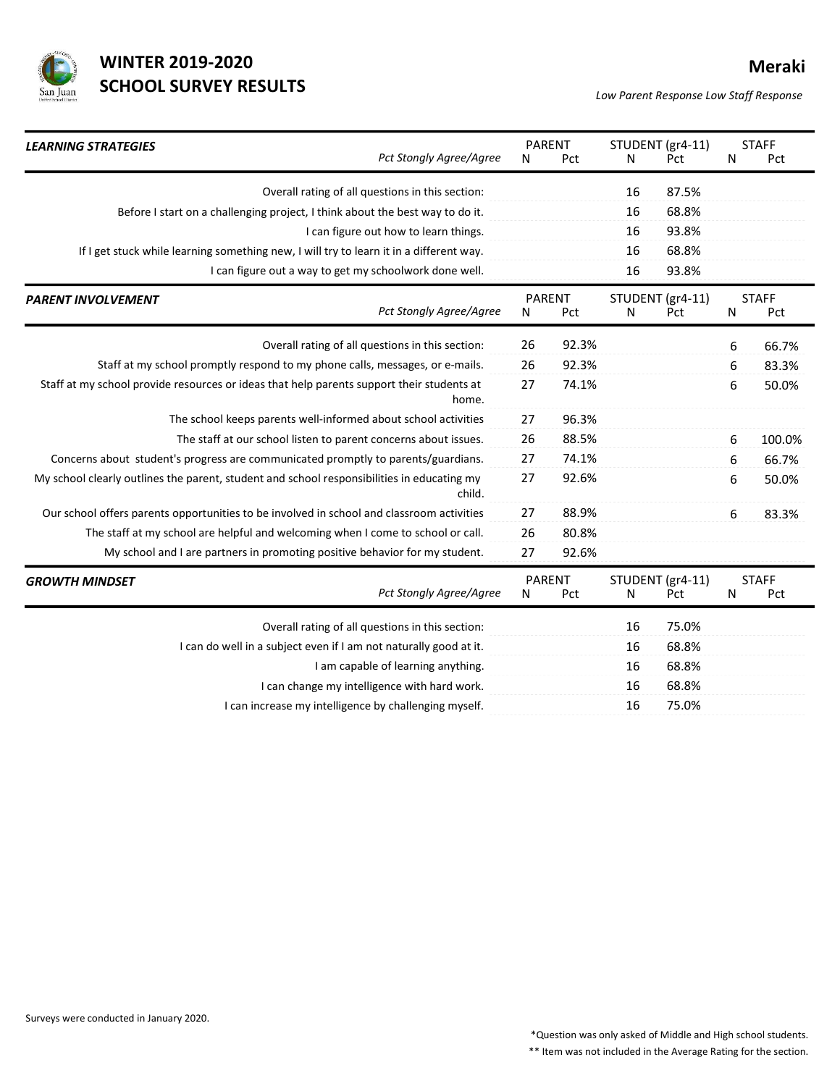

| <b>WINTER 2019-2020</b><br><b>Meraki</b>                                                                                                            |
|-----------------------------------------------------------------------------------------------------------------------------------------------------|
| <b>SCHOOL SURVEY RESULTS</b><br>San Juan<br>Low Parent Response Low Staff Response                                                                  |
|                                                                                                                                                     |
| PARENT<br>STUDENT (gr4-11)<br><b>STAFF</b><br><b>LEARNING STRATEGIES</b>                                                                            |
| Pct Stongly Agree/Agree<br>Pct<br>Pct<br>N<br>Pct<br>N<br>N                                                                                         |
| Overall rating of all questions in this section:<br>87.5%<br>16                                                                                     |
| 68.8%<br>Before I start on a challenging project, I think about the best way to do it.<br>16                                                        |
| 93.8%<br>I can figure out how to learn things.<br>16                                                                                                |
| If I get stuck while learning something new, I will try to learn it in a different way.<br>68.8%<br>16                                              |
| 93.8%<br>16<br>I can figure out a way to get my schoolwork done well.                                                                               |
| PARENT<br>STUDENT (gr4-11)<br><b>STAFF</b><br><b>PARENT INVOLVEMENT</b><br>Pct Stongly Agree/Agree<br>Pct<br>Pct<br>Pct<br>N<br>N<br>N              |
| Overall rating of all questions in this section:<br>26<br>92.3%<br>6<br>66.7%                                                                       |
| Staff at my school promptly respond to my phone calls, messages, or e-mails.<br>26<br>92.3%<br>83.3%<br>6                                           |
| 27<br>74.1%<br>Staff at my school provide resources or ideas that help parents support their students at<br>6<br>50.0%<br>home.                     |
| The school keeps parents well-informed about school activities<br>27<br>96.3%                                                                       |
|                                                                                                                                                     |
| 88.5%<br>The staff at our school listen to parent concerns about issues.<br>26<br>100.0%<br>6                                                       |
| 27<br>74.1%<br>Concerns about student's progress are communicated promptly to parents/guardians.<br>66.7%<br>6                                      |
| 27<br>92.6%<br>My school clearly outlines the parent, student and school responsibilities in educating my<br>50.0%<br>6<br>child.                   |
| Our school offers parents opportunities to be involved in school and classroom activities<br>27<br>88.9%<br>83.3%<br>6                              |
| The staff at my school are helpful and welcoming when I come to school or call.<br>26<br>80.8%                                                      |
| 27<br>92.6%<br>My school and I are partners in promoting positive behavior for my student.                                                          |
| <b>STAFF</b><br>PARENT<br>STUDENT (gr4-11)<br><b>GROWTH MINDSET</b><br>Pct Stongly Agree/Agree<br>Pct<br>Pct<br>Pct<br>N<br>N<br>N                  |
|                                                                                                                                                     |
| Overall rating of all questions in this section:<br>75.0%<br>16<br>I can do well in a subject even if I am not naturally good at it.<br>16<br>68.8% |
| I am capable of learning anything.<br>16<br>68.8%                                                                                                   |
| I can change my intelligence with hard work.<br>16<br>68.8%                                                                                         |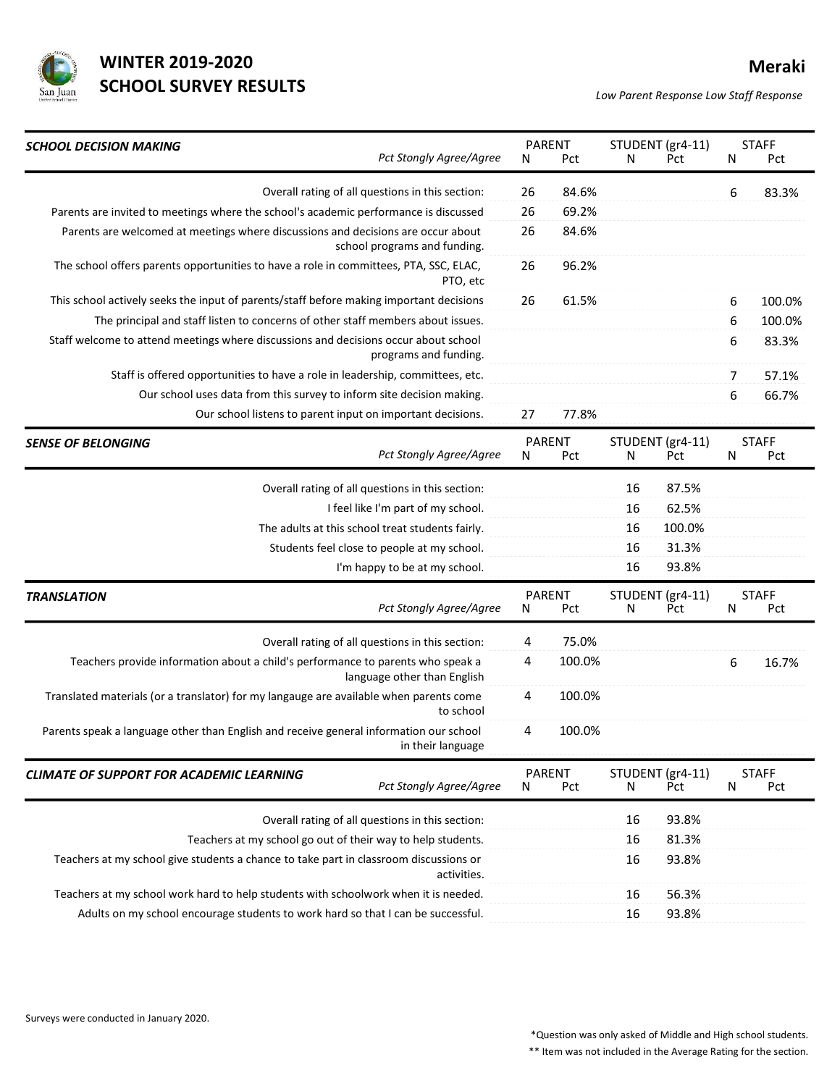

## WINTER 2019-2020 Meraki SCHOOL SURVEY RESULTS<br>
Low Parent Response Low Staff Response

| <b>WINTER 2019-2020</b><br><b>SCHOOL SURVEY RESULTS</b>                                                                                                                  |          |                      |    |                                        |   | Meraki              |
|--------------------------------------------------------------------------------------------------------------------------------------------------------------------------|----------|----------------------|----|----------------------------------------|---|---------------------|
| San Juan                                                                                                                                                                 |          |                      |    | Low Parent Response Low Staff Response |   |                     |
| <b>SCHOOL DECISION MAKING</b><br>Pct Stongly Agree/Agree                                                                                                                 | N        | <b>PARENT</b><br>Pct | N  | STUDENT (gr4-11)<br>Pct                | N | <b>STAFF</b><br>Pct |
| Overall rating of all questions in this section:                                                                                                                         | 26       | 84.6%                |    |                                        | 6 | 83.3%               |
| Parents are invited to meetings where the school's academic performance is discussed<br>Parents are welcomed at meetings where discussions and decisions are occur about | 26<br>26 | 69.2%<br>84.6%       |    |                                        |   |                     |
| school programs and funding.<br>The school offers parents opportunities to have a role in committees, PTA, SSC, ELAC,                                                    | 26       | 96.2%                |    |                                        |   |                     |
| PTO, etc<br>This school actively seeks the input of parents/staff before making important decisions                                                                      | 26       | 61.5%                |    |                                        | 6 | 100.0%              |
| The principal and staff listen to concerns of other staff members about issues.                                                                                          |          |                      |    |                                        | 6 | 100.0%              |
| Staff welcome to attend meetings where discussions and decisions occur about school<br>programs and funding.                                                             |          |                      |    |                                        | 6 | 83.3%               |
| Staff is offered opportunities to have a role in leadership, committees, etc.                                                                                            |          |                      |    |                                        | 7 | 57.1%               |
| Our school uses data from this survey to inform site decision making.                                                                                                    | 27       | 77.8%                |    |                                        | 6 | 66.7%               |
| Our school listens to parent input on important decisions.                                                                                                               |          |                      |    |                                        |   |                     |
| <b>SENSE OF BELONGING</b><br>Pct Stongly Agree/Agree                                                                                                                     | N        | PARENT<br>Pct        | N  | STUDENT (gr4-11)<br>Pct                | N | <b>STAFF</b><br>Pct |
| Overall rating of all questions in this section:                                                                                                                         |          |                      | 16 | 87.5%                                  |   |                     |
| I feel like I'm part of my school.                                                                                                                                       |          |                      | 16 | 62.5%                                  |   |                     |
| The adults at this school treat students fairly.                                                                                                                         |          |                      | 16 | 100.0%                                 |   |                     |
| Students feel close to people at my school.                                                                                                                              |          |                      | 16 | 31.3%                                  |   |                     |
| I'm happy to be at my school.                                                                                                                                            |          |                      | 16 | 93.8%                                  |   |                     |
| <b>TRANSLATION</b><br>Pct Stongly Agree/Agree                                                                                                                            | N        | <b>PARENT</b><br>Pct | N  | STUDENT (gr4-11)<br>Pct                | N | <b>STAFF</b><br>Pct |
| Overall rating of all questions in this section:                                                                                                                         | 4        | 75.0%                |    |                                        |   |                     |
| Teachers provide information about a child's performance to parents who speak a<br>language other than English                                                           | 4        | 100.0%               |    |                                        | 6 | 16.7%               |
| Translated materials (or a translator) for my langauge are available when parents come<br>to school                                                                      | 4        | 100.0%               |    |                                        |   |                     |
| Parents speak a language other than English and receive general information our school<br>in their language                                                              | 4        | 100.0%               |    |                                        |   |                     |
| <b>CLIMATE OF SUPPORT FOR ACADEMIC LEARNING</b><br>Pct Stongly Agree/Agree                                                                                               | N        | <b>PARENT</b><br>Pct | N  | STUDENT (gr4-11)<br>Pct                | N | <b>STAFF</b><br>Pct |
| Overall rating of all questions in this section:                                                                                                                         |          |                      | 16 | 93.8%                                  |   |                     |
| Teachers at my school go out of their way to help students.                                                                                                              |          |                      | 16 | 81.3%                                  |   |                     |
| Teachers at my school give students a chance to take part in classroom discussions or<br>activities.                                                                     |          |                      | 16 | 93.8%                                  |   |                     |
| Teachers at my school work hard to help students with schoolwork when it is needed.                                                                                      |          |                      | 16 | 56.3%                                  |   |                     |
| Adults on my school encourage students to work hard so that I can be successful.                                                                                         |          |                      | 16 | 93.8%                                  |   |                     |